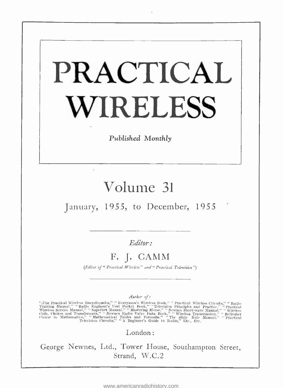# PRACTICAL WIRELESS

Published Monthly

## Volume <sup>31</sup>

January, 1955, to December, 1955

Editor:

## F. J. CAMM

(Editor of "Practical Wireless" and " Practical Television")

Author of :

"The Practical Wireless Encyclopædia," "Everyman's Wireless Book," " Practical Wireless Circuits," " Radio Engining Manual," "Radio Engineer's Vest Pocket Book," "Television Principles and Practice." "Practical Wireless Se

London:

George Newnes, Ltd., Tower House, Southampton Street, Strand, W.C.2

<www.americanradiohistory.com>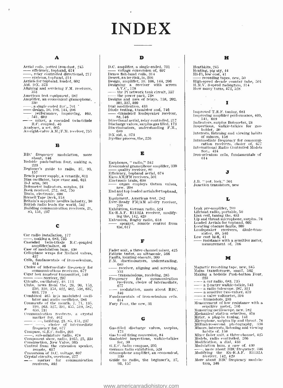# INDEX

#### A

- 
- 
- 
- 
- 
- 
- Aerial coils, potted iron-dust, 245<br>
—— efficiency, topband, 674<br>
——, relay controlled directional, 217<br>
systems, topband, 214<br>
Airials for topband, 2014<br>
Aid, DX, 373<br>
Aligning and servicing F.M. receivers,<br>
553<br>
America
- 
- 
- , a single ended D.C., 701<br>-- design, 10. 106, 144, 206<br>-- performance, improving, 469,<br>- 541, 609
- , 541, 609 mixer, a cascaded twin -triode B.C. coupled, 46 Analyser, a set, 605  $\lambda$ n eight -valve A.M. /F.M. receiver, 755
- 
- 

#### 8

- BBC frequency modulation, more<br>
about, 346<br>
Bedside push-button four, making a,<br>  $223$ <br>
Beginner's guide to radio, 37, 93,<br>
Beginner's guide to radio, 37, 93,<br>
Bench power supply, a versatile, 611<br>
Bias oscillator, tape e
- 
- 
- 
- 
- 
- 
- 
- 
- 
- 
- 85, 151, 237

#### C

- 
- Car radio installation, 177<br>
 unking a, 683, 735<br>
 cascaded twin-triode R.C.-coupled<br>
amplifier/mixer, 46<br>
Case of nodulation lum, 430<br>
Cellophane wraps for Mullard valves,<br>  $437$ <br>
Cellophane wraps for Mullard valves,<br>
- 
- 
- 
- 
- 
- 
- 
- $\begin{tabular}{l|l|l|} \hline \textbf{0.14} & \textbf{0.14} & \textbf{0.14} & \textbf{0.14} & \textbf{0.14} & \textbf{0.14} & \textbf{0.14} & \textbf{0.14} & \textbf{0.14} & \textbf{0.14} & \textbf{0.14} & \textbf{0.14} & \textbf{0.14} & \textbf{0.14} & \textbf{0.14} & \textbf{0.14} & \textbf{0.14} & \textbf{0.14} & \textbf{0.14} & \textbf{0.14} & \textbf{$
- 
- 
- lator and audio oscillator, 286<br>
Comments of the month, 7, 71, 135,<br>  $F = 639$ , 731  $\sqrt{367}$ , 597,<br>
Communication receivers. a crystal<br>
marker for. 462<br>  $\begin{array}{r} \text{constant} \to 0.462 \\ \text{mean} \to 0.460 \text{e} \to 0.511, 237 \\ \text{mean} \to 0.60 \text$
- 
- Frequency for, 617<br>
Compass, G.E.C. radio, 205<br>
Frequency for, 677<br>
Somponent show, radio, 1955, 25, 334<br>
Component show, radio, 1955, 25, 334<br>
Construction, New Valve, 365<br>
Construction, New Valve, 365<br>
Poster,
- 
- 
- 
- 
- 
- remote, 617 Control from the extension speaker,<br>remote, 617<br>Conversion of D.C. voltage, 697<br>Crystal circuits, overtone, 277<br>—— marker for communication<br>receivers, 462

#### D

**D.**<br>D.C. amplifier, a single-ended, 701<br>Denco fish-band coils, 314<br>Denco fish-band coils, 314 Design, amplifier, 10, 106, 144, 206<br>
Designing a receiver with screen A.V.C., 178<br>
— the Pi network tank circuit, 557<br>
— the power pack, 738<br>
Designs and uses of relays, 138, 202, the power pack, 738<br>Designs and uses of relays, 138, 202,<br>301, 337, 400<br>Diode testing, transistor and, 746<br>Dial modification, 433<br> $\rightarrow$  transistor and, 746<br>- transistor loudspeaker receiver,<br>85 546 -transistor loudspeaker receiver, Birectional aerial, relay controlled, 217<br>Discharge valves, surplus gas filled, 173<br>Discriminators, understanding F.M.,<br>689<br>DX aid, a, 373<br>Dyeline process, the, 226

#### E

- 
- 
- 
- 
- Earphones, " radio," 242 Economical gramophone amplifier, 330  $\overline{E}$  Efficiency, topband aerial, 674 Ekco AM/FM receivers, 501 Electronic brain, 698  $\overline{E}$  organ employs Osram valves, new, 208  $\overline{E}$  organ employs O
- 
- 
- $\begin{array}{l} 405 \\ \text{Equilibrium},\ \text{American test},\ 282 \\ \text{Even-Ready FM/AM all-dry receiver},\\ 709 \\ \text{Exhibitation},\ \text{German radio},\ 524 \\ \text{Ex-R.A.F. R1132A receiver},\ \text{modify-}\ \\ \text{Intel},\ 142,\ 429 \\ \text{Extension},\ \text{Rugby radio},\ 618 \\ \text{Exteension},\ \text{hypergator},\ \text{remote control from} \end{array}$
- the, 617

#### F

Fader unit, a three-channel mixer,  $+25$ <br>Fatigue tester, an ultrasonic, 566<br>Fatigue tester, an ultrasonic, 566<br>F.M. discriminators, understanding,<br> $\overline{553}$ <br> $\overline{589}$ <br>receiver, aligning and servicing,<br> $\overline{553}$ <br> $\overline{57$ 

- 
- 
- 
- 
- 
- recepters, choice of intermediate, 677<br>1970 modulation, more about BBC,<br>346 Fundamentals of iron-selenium cells,<br>Fury Four, the new, 31
- 

#### G

- Gas-filled discharge valves, surplus,<br>Gas to oil firing conversion, 84<br>Gasholder inspections, walkie-talkies<br>for, 30<br>(i.g., 0) Gonpass, 205
- 
- 
- 
- 
- for, 30 G.E.C. radio compass, 205 German radio exhibition, 524 Gramophone amplifier, an economical, 330 Guide to radio, the beginner's, 37,
- 93, 157

<www.americanradiohistory.com>

#### H

- 
- 
- Heating, pig sty, 44<br>Hi-Fi, low cost, 41<br>High -speed decade counter tube, 501<br>High-speed decade counter tube, 501<br>High-speed decade counter tube, 501<br>H.M.V. 3-speed radiogram, 314<br>How many turns, 472, 528
- 

#### I

- Improved T.R.F. tuning, 681 Improving amplifier performance, 469,
- 
- 541, 609 Indicators, surplus Bolometer, 24 Inspections, walkie- talkies for gas- holder, 30 Interests, listening and viewing habits
- 
- of minors, 158<br>Intermediate frequency for communi-<br>cation receivers, choice of, 677
- International Radio Controlled Models<br>Soc., 434 Iron-selenium cells, fundamentals of
- (314

### $J$  and  $J$

J.B. "pot. lock," 501 Junction transistors, new

#### L

M

Magnetic recording tape, new, 345<br>Making a bedside Push, buthon Four, 223<br>Making a bedside Push-button Four,<br> $\frac{223}{223}$  a can radio, 683, 735<br>—— a radio telescope, 287, 351<br>—— a radio telescope, 287, 351<br>—— a sensitive

, Inore about BBC frequency, 346 Modifying the Ex-R.A.F. R1132A<br>receiver, 142, 429<br>receiver, 142, 429<br>More about BBC frequency modula-

tion, 346

Leak pre-amplifier, 709<br>Lifeboat radio, portable, 50<br>Link coil, uning the, 493<br>Lip and throat nicrophone, surplus. 76<br>Loaded Aerials for topband, 602<br>Locating obscure faults, 309<br>Loudspeaker receivers, diode-transistor, 88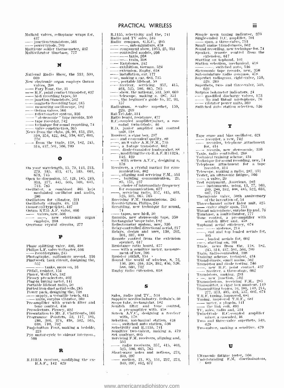Mullard valves, cellophane wraps for,  $\frac{437}{40}$ <br>inction transistors, 566 power triode, 709<br> $\frac{1}{100}$  power triode, 709<br>Multivibrator timebase, 777

N

- National Radio Show, the 533, 590, 669 New electronic organ employs Osram
- 
- 
- 
- 
- 
- 
- 
- 
- 
- 
- 
- 
- New eigenement<br>
valves, 208<br>  $\rightarrow$  Party Four, the, 31<br>
Party Four, the, 31<br>  $\rightarrow$  H.F. point contact transistor, 437<br>  $\rightarrow$  H.F. point contact transistor, 542<br>  $\rightarrow$  magnetic recording tape. 345<br>  $\rightarrow$  magnetic recording to a
- 310, 354, 4.22, 482, 538, 637, 603, 770 front the trade, 118, 182, 245, 314, 437, 501, 566, 709

o

- On your wavelength, 15, 79, 143, 213, 279, 345, 413, 471, 535, 601, 673, 745 Open to discussion, 57, 121, 185, 249,
- 313, 377, 441, 505, 569, 641,<br>713, 785<br>Oscillator, a combined 465 kc/s |
- Oscillator, a combined 465 kc/s<br>modulated oscillator and audio,<br> $286$ <br>Oscillators for vibrator,  $221$ <br>Oscillators for vibrator,  $221$ <br>Oscillators circuits,  $49,113$ <br>Osmar vibrator ( $295$  A.F. valve,  $466$ <br>Osmar W755 A.F.
- 
- 
- 
- 
- 

#### P

- Phase splitting valve, 490, 408<br>
Philips L.F. valve voltneter, 566<br>
 recorder<br>
protography, millimiero second, 336<br>
Photography, millimiero second, 336<br>
Philips (Englisher, 145<br>
 tanks, more on, 16<br>
Pitfall, resistor, 1
- 
- 246, 306, 374, 438, 502, 565,<br>
638, 710, 762<br>
Push-button Four, making a bedside,<br>
223<br>
Pye motor-eyele to sidecar intercom.,<br>
566<br>

#### R

R.1132A receiver, modifying the ex-<br> $R.A.F., 142, 429$ 

PRACTICAL WIRELESS

R.1155, selectivity and the, 741<br>
Radio and TV sales, 534<br>
Radio compass, G.E.C., 205<br>  $\overline{\phantom{a}}$  monoponent show, 1955, 25, 334<br>
controlled models, 266<br>  $\overline{\phantom{a}}$  taxis, 268<br>  $\overline{\phantom{a}}$  taxis, 268<br>  $\overline{\phantom{a}}$  taxis, — extension, Rugby, 618<br>— installation, car, 177<br>—, nuaking a car, 683, 735 , portable lifeboat. 50 receiver, servicing,  $-357$ ,  $415$ ,  $+63$ ,  $525$ ,  $596$ ,  $665$ ,  $765$   $-$  show, the national, 533, 590, 669 telescope, making a, 287, 351  $-$ , the beginner's guide to, 37, 93, , the béginner's guide to, 37, 93,<br>
157 – 157 – Horizon, 8-valve superhet, 159, 229, 269<br>
Rai-Tel-Ade, 314<br>
Rai-Tel-Ade, 314<br>
Ratio board, resistance, 477<br>
R.C.-coupled annulifier/mixer, a case-caded twin-triode, 46<br>
R.D. unit, 118 - Receiver, a cigar box. <sup>2117</sup>and econouticaf quality-. <sup>80</sup> , an 8 valve A.M. I.1t., 755 , a :3 -stage transistor, 662 -, diode- transistor loudspeaker, <sup>88</sup>  $\frac{1}{2}$ , diode-transistor loudspeaker, 88<br>-, modifying the ex-R.A.F. R1132A,  $\frac{1}{2}$ 178<br>178<br>Receivers, a crystal marker for com-<br>munication, 462<br>1..., aligning and servicing F.M., 553  $\frac{1}{2}$ , aligning communication, 21,<br> $\frac{85}{23}$ , 151, 237<br> $\frac{1}{2}$ , choice of intermediate frequency 85, 151, 237<br>
---, choice of intermediate frequency<br>
for communication, 677<br>
---, servicing radio, 357, 415, 463,<br>
525, 595, 665, 765<br>
Receiving F.M. transmissions, 285 Recordergram, Philips, 245<br>Recording, new technique for sound, Recording, new technique for sound,<br> $\begin{array}{l} \text{74}\ \text{pes, new} \text{ hi-fl, 50} \ \text{Rectangular'scope tube, 182} \ \text{Reetangular'scope tube, 182} \ \text{Reletotometer system, new, 336} \ \text{Reletay-controled directional acrial, 217} \end{array}$  $301, 337, 400$ <br>
Remote control from the extension<br>
speaker, 617<br>
Resistance ratio board, 477<br>
with a sensitive inverter, measure-<br>
ment of low, 706<br>
Remote the world of wireless, 8, 72,<br>
136, 200, 264, 328, 392, 456, 520

#### S

Sapphire needles industry. Britain's, 30 Scope tube, rectangular, 182 Scratch filter and tone control, a pre-amplifier with. 458 Sereen A,V.C., designing a receiver with, 178 Screen A,C.t'., designing a receiver Selection selection, increasing a station, 536<br>selectivity and R.1155, 741<br>Sensitive two-valuer, making a, 479<br>Serveing F.M. receivers, making a, 479<br>Serveing F.M. receivers, aligning and,<br>553 5.25, 596, 665, 765 Short -wave notes and notions, 273,  $\begin{array}{l} \text{...} \ \text{...} \ \text{...} \ \text{...} \ \text{...} \ \text{...} \ \text{...} \ \text{...} \ \text{...} \ \text{...} \ \text{...} \ \text{...} \ \text{...} \ \text{...} \ \text{...} \ \text{...} \ \text{...} \ \text{...} \ \text{...} \ \text{...} \ \text{...} \ \text{...} \ \text{...} \ \text{...} \ \text{...} \ \text{...} \ \text{...} \ \text{...} \ \text{...} \ \text{...} \ \text{...} \ \text{...} \ \text{...} \ \text{...} \ \text{...} \ \text{$ 

section, 21, 85, 151, 237, 273, 349, 397, 462, 677

Simple neon tuning indicator, 370 Single-ended D.C. amplifier, 701<br>Span, a three-valve, 753<br>Small mains transformers, 562<br>Sound recording. new technique for, 74<br> extension, 617<br>
Speaker, remote control from the<br>
extension, 617<br>
Starting on topband, 101<br>
Station selection, mechanical, 418<br>
Stereosonic tape records, new, 350<br>
Sub-miniature radio compass, 478<br>
Superhet radiogram, eigh

- 2211. 269 Superhits, two- and three -valve, 549, 629 Surplus kilometer indicators, 24 gas -filled discharge valves, 173 lip and throat microphone, 76 vibrator power units, :369 Switched auto station selection, 536
- 
- 

#### T

Tape erase and bias oscillator, 621<br>  $\overline{\phantom{a}}$  recorder, a new, 742<br>  $\overline{\phantom{a}}$  recorder, telephone attachment<br>
for, 414 fur, 414 - records, new stereosonic, 350<br>Taxis, radio controlled. 268<br>Technical training scheme, 434 Technique for sound recording, new, 74<br>Telephone - attachment - for - a - tape recorder, 414<br>Telescope, making a radio, 287, 351<br>Tester, an ultrasonic fatigue, 566<br> $\frac{36}{2}$ recorder, 20<br>
Telescope, making a radio, 287, 351<br>
Test - an ultrasonic fatigne, 566<br>
Test - quipment , American. 282<br>
Test - instruments, using, 13, 77, 169,<br>
209, 289, 342, 408, 485, 522, 633,<br>
209, 289, 342, 408, 485, 5 Thermionie valve, 50th anniversary<br>of the invention of, 54 Three-channel mixer fader unit, 425<br>Throat microphone, surplus lip and, 76<br>Timchase, a unitrivibrator, 777 Tune control, a pre-amplifier with<br>the scratch filter and, 458<br> $\frac{1}{\sqrt{2}}$  Tone control, a pre-amplifier with scatch field aerial efficiency,  $674$ <br> $\overline{\phantom{0}}$ , end and top loaded aerials for,<br> $\overline{405}$ <br> $\overline{\phantom{0}}$ , loaded aerials for,  $602$  $\frac{105}{405}$  -, loaded aerials for,  $602$ <br> $\frac{405}{405}$  starting on, 101<br>Trade, news from the, 118, 182, 245, 314, 437, 501, 566, 709<br>Train, radio-controlled, :398<br>Training scheme, technical, 434<br>Transformers, small mains, 562 Transistor and diode testing. 746<br>———, new- H.F. point contact, 437<br>——— receiver, a three-stage, 662 Transistors, making, 293<br>
Transistors, making, 203<br>
Transmitter, a cigar box amateur, 149<br>
Transmitting topics, 16, 101, 149, 214,<br>
Transmitting topics, 16, 101, 149, 214,<br>
277, 373, 405, 493, 557, 662, 674<br>
T.R.F., 1ming mixer, a cascaded, 46<br>Two- and three-valve snperhets, 549,<br>629<br>Two-valver, making a sensitive, 479

#### v

Ultrasonic fatigue tester, 566 Understanding F.M. discriminators, ' 689